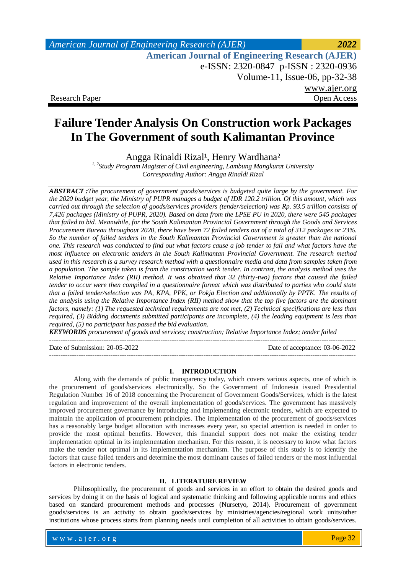## *American Journal of Engineering Research (AJER) 2022*  **American Journal of Engineering Research (AJER)** e-ISSN: 2320-0847 p-ISSN : 2320-0936 Volume-11, Issue-06, pp-32-38 www.ajer.org Research Paper Open Access

# **Failure Tender Analysis On Construction work Packages In The Government of south Kalimantan Province**

Angga Rinaldi Rizal<sup>1</sup>, Henry Wardhana<sup>2</sup>

*1, 2Study Program Magister of Civil engineering, Lambung Mangkurat University Corresponding Author: Angga Rinaldi Rizal*

*ABSTRACT :The procurement of government goods/services is budgeted quite large by the government. For the 2020 budget year, the Ministry of PUPR manages a budget of IDR 120.2 trillion. Of this amount, which was carried out through the selection of goods/services providers (tender/selection) was Rp. 93.5 trillion consists of 7,426 packages (Ministry of PUPR, 2020). Based on data from the LPSE PU in 2020, there were 545 packages that failed to bid. Meanwhile, for the South Kalimantan Provincial Government through the Goods and Services Procurement Bureau throughout 2020, there have been 72 failed tenders out of a total of 312 packages or 23%. So the number of failed tenders in the South Kalimantan Provincial Government is greater than the national one. This research was conducted to find out what factors cause a job tender to fail and what factors have the most influence on electronic tenders in the South Kalimantan Provincial Government. The research method used in this research is a survey research method with a questionnaire media and data from samples taken from a population. The sample taken is from the construction work tender. In contrast, the analysis method uses the Relative Importance Index (RII) method. It was obtained that 32 (thirty-two) factors that caused the failed tender to occur were then compiled in a questionnaire format which was distributed to parties who could state that a failed tender/selection was PA, KPA, PPK, or Pokja Election and additionally by PPTK. The results of the analysis using the Relative Importance Index (RII) method show that the top five factors are the dominant factors, namely: (1) The requested technical requirements are not met, (2) Technical specifications are less than required, (3) Bidding documents submitted participants are incomplete, (4) the leading equipment is less than required, (5) no participant has passed the bid evaluation.*

*KEYWORDS procurement of goods and services; construction; Relative Importance Index; tender failed*

Date of Submission: 20-05-2022 Date of acceptance: 03-06-2022

#### **I. INTRODUCTION**

---------------------------------------------------------------------------------------------------------------------------------------

---------------------------------------------------------------------------------------------------------------------------------------

Along with the demands of public transparency today, which covers various aspects, one of which is the procurement of goods/services electronically. So the Government of Indonesia issued Presidential Regulation Number 16 of 2018 concerning the Procurement of Government Goods/Services, which is the latest regulation and improvement of the overall implementation of goods/services. The government has massively improved procurement governance by introducing and implementing electronic tenders, which are expected to maintain the application of procurement principles. The implementation of the procurement of goods/services has a reasonably large budget allocation with increases every year, so special attention is needed in order to provide the most optimal benefits. However, this financial support does not make the existing tender implementation optimal in its implementation mechanism. For this reason, it is necessary to know what factors make the tender not optimal in its implementation mechanism. The purpose of this study is to identify the factors that cause failed tenders and determine the most dominant causes of failed tenders or the most influential factors in electronic tenders.

### **II. LITERATURE REVIEW**

Philosophically, the procurement of goods and services in an effort to obtain the desired goods and services by doing it on the basis of logical and systematic thinking and following applicable norms and ethics based on standard procurement methods and processes (Nursetyo, 2014). Procurement of government goods/services is an activity to obtain goods/services by ministries/agencies/regional work units/other institutions whose process starts from planning needs until completion of all activities to obtain goods/services.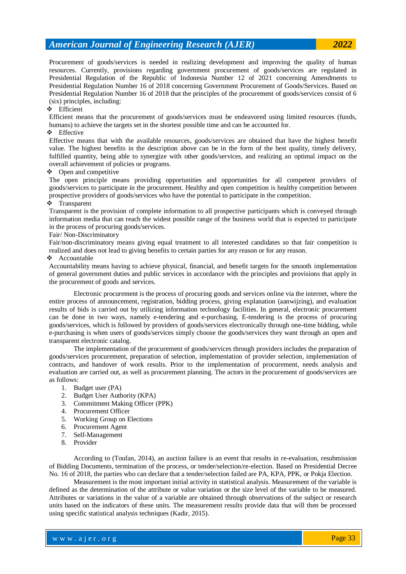Procurement of goods/services is needed in realizing development and improving the quality of human resources. Currently, provisions regarding government procurement of goods/services are regulated in Presidential Regulation of the Republic of Indonesia Number 12 of 2021 concerning Amendments to Presidential Regulation Number 16 of 2018 concerning Government Procurement of Goods/Services. Based on Presidential Regulation Number 16 of 2018 that the principles of the procurement of goods/services consist of 6 (six) principles, including:

### Efficient

Efficient means that the procurement of goods/services must be endeavored using limited resources (funds, humans) to achieve the targets set in the shortest possible time and can be accounted for.

#### Effective

Effective means that with the available resources, goods/services are obtained that have the highest benefit value. The highest benefits in the description above can be in the form of the best quality, timely delivery, fulfilled quantity, being able to synergize with other goods/services, and realizing an optimal impact on the overall achievement of policies or programs.

#### $\triangle$  Open and competitive

The open principle means providing opportunities and opportunities for all competent providers of goods/services to participate in the procurement. Healthy and open competition is healthy competition between prospective providers of goods/services who have the potential to participate in the competition.

#### Transparent

Transparent is the provision of complete information to all prospective participants which is conveyed through information media that can reach the widest possible range of the business world that is expected to participate in the process of procuring goods/services.

#### Fair/ Non-Discriminatory

Fair/non-discriminatory means giving equal treatment to all interested candidates so that fair competition is realized and does not lead to giving benefits to certain parties for any reason or for any reason.

#### $\triangle$  Accountable

Accountability means having to achieve physical, financial, and benefit targets for the smooth implementation of general government duties and public services in accordance with the principles and provisions that apply in the procurement of goods and services.

Electronic procurement is the process of procuring goods and services online via the internet, where the entire process of announcement, registration, bidding process, giving explanation (aanwijzing), and evaluation results of bids is carried out by utilizing information technology facilities. In general, electronic procurement can be done in two ways, namely e-tendering and e-purchasing. E-tendering is the process of procuring goods/services, which is followed by providers of goods/services electronically through one-time bidding, while e-purchasing is when users of goods/services simply choose the goods/services they want through an open and transparent electronic catalog.

The implementation of the procurement of goods/services through providers includes the preparation of goods/services procurement, preparation of selection, implementation of provider selection, implementation of contracts, and handover of work results. Prior to the implementation of procurement, needs analysis and evaluation are carried out, as well as procurement planning. The actors in the procurement of goods/services are as follows:

- 1. Budget user (PA)
- 2. Budget User Authority (KPA)
- 3. Commitment Making Officer (PPK)
- 4. Procurement Officer
- 5. Working Group on Elections
- 6. Procurement Agent
- 7. Self-Management
- 8. Provider

According to (Toufan, 2014), an auction failure is an event that results in re-evaluation, resubmission of Bidding Documents, termination of the process, or tender/selection/re-election. Based on Presidential Decree No. 16 of 2018, the parties who can declare that a tender/selection failed are PA, KPA, PPK, or Pokja Election.

Measurement is the most important initial activity in statistical analysis. Measurement of the variable is defined as the determination of the attribute or value variation or the size level of the variable to be measured. Attributes or variations in the value of a variable are obtained through observations of the subject or research units based on the indicators of these units. The measurement results provide data that will then be processed using specific statistical analysis techniques (Kadir, 2015).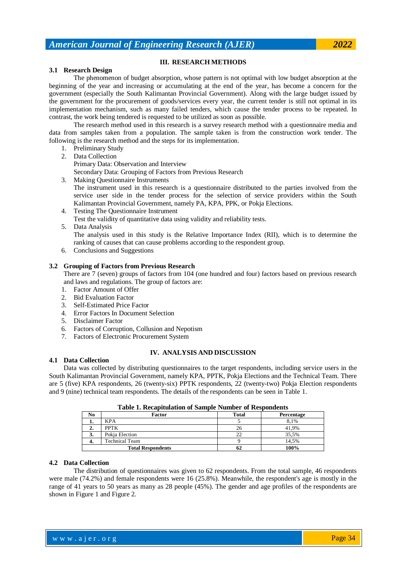#### **III. RESEARCH METHODS**

#### **3.1 Research Design**

The phenomenon of budget absorption, whose pattern is not optimal with low budget absorption at the beginning of the year and increasing or accumulating at the end of the year, has become a concern for the government (especially the South Kalimantan Provincial Government). Along with the large budget issued by the government for the procurement of goods/services every year, the current tender is still not optimal in its implementation mechanism, such as many failed tenders, which cause the tender process to be repeated. In contrast, the work being tendered is requested to be utilized as soon as possible.

The research method used in this research is a survey research method with a questionnaire media and data from samples taken from a population. The sample taken is from the construction work tender. The following is the research method and the steps for its implementation.

- 1. Preliminary Study
- 2. Data Collection

Primary Data: Observation and Interview

Secondary Data: Grouping of Factors from Previous Research

- 3. Making Questionnaire Instruments The instrument used in this research is a questionnaire distributed to the parties involved from the service user side in the tender process for the selection of service providers within the South Kalimantan Provincial Government, namely PA, KPA, PPK, or Pokja Elections.
- 4. Testing The Questionnaire Instrument

Test the validity of quantitative data using validity and reliability tests.

- 5. Data Analysis The analysis used in this study is the Relative Importance Index (RII), which is to determine the ranking of causes that can cause problems according to the respondent group.
- 6. Conclusions and Suggestions

#### **3.2 Grouping of Factors from Previous Research**

There are 7 (seven) groups of factors from 104 (one hundred and four) factors based on previous research and laws and regulations. The group of factors are:

- 1. Factor Amount of Offer
- 2. Bid Evaluation Factor
- 3. Self-Estimated Price Factor
- 4. Error Factors In Document Selection
- 5. Disclaimer Factor
- 6. Factors of Corruption, Collusion and Nepotism
- 7. Factors of Electronic Procurement System

#### **IV. ANALYSIS AND DISCUSSION**

#### **4.1 Data Collection**

Data was collected by distributing questionnaires to the target respondents, including service users in the South Kalimantan Provincial Government, namely KPA, PPTK, Pokja Elections and the Technical Team. There are 5 (five) KPA respondents, 26 (twenty-six) PPTK respondents, 22 (twenty-two) Pokja Election respondents and 9 (nine) technical team respondents. The details of the respondents can be seen in Table 1.

| Table 1. Recapitulation of Sample Number of Respondents |                          |       |            |  |  |  |
|---------------------------------------------------------|--------------------------|-------|------------|--|--|--|
| No                                                      | Factor                   | Total | Percentage |  |  |  |
| ı.                                                      | <b>KPA</b>               |       | 8.1%       |  |  |  |
| 2.                                                      | <b>PPTK</b>              | 26    | 41,9%      |  |  |  |
| 3.                                                      | Pokja Election           | 22    | 35.5%      |  |  |  |
| 4.                                                      | <b>Technical Team</b>    |       | 14.5%      |  |  |  |
|                                                         | <b>Total Respondents</b> | 62    | 100%       |  |  |  |

### **Table 1. Recapitulation of Sample Number of Respondents**

#### **4.2 Data Collection**

The distribution of questionnaires was given to 62 respondents. From the total sample, 46 respondents were male (74.2%) and female respondents were 16 (25.8%). Meanwhile, the respondent's age is mostly in the range of 41 years to 50 years as many as 28 people (45%). The gender and age profiles of the respondents are shown in Figure 1 and Figure 2.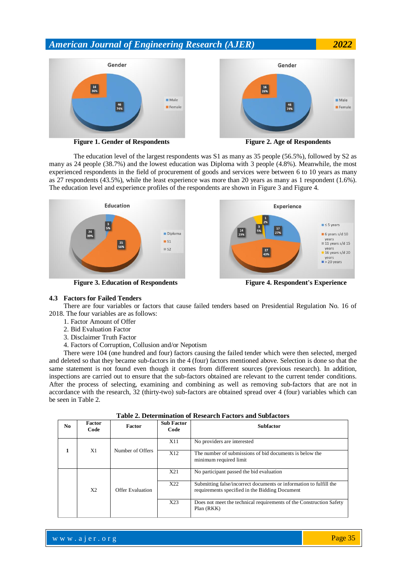



The education level of the largest respondents was S1 as many as 35 people (56.5%), followed by S2 as many as 24 people (38.7%) and the lowest education was Diploma with 3 people (4.8%). Meanwhile, the most experienced respondents in the field of procurement of goods and services were between 6 to 10 years as many as 27 respondents (43.5%), while the least experience was more than 20 years as many as 1 respondent (1.6%). The education level and experience profiles of the respondents are shown in Figure 3 and Figure 4.



#### **4.3 Factors for Failed Tenders**

There are four variables or factors that cause failed tenders based on Presidential Regulation No. 16 of 2018. The four variables are as follows:

- 1. Factor Amount of Offer
- 2. Bid Evaluation Factor
- 3. Disclaimer Truth Factor
- 4. Factors of Corruption, Collusion and/or Nepotism

There were 104 (one hundred and four) factors causing the failed tender which were then selected, merged and deleted so that they became sub-factors in the 4 (four) factors mentioned above. Selection is done so that the same statement is not found even though it comes from different sources (previous research). In addition, inspections are carried out to ensure that the sub-factors obtained are relevant to the current tender conditions. After the process of selecting, examining and combining as well as removing sub-factors that are not in accordance with the research, 32 (thirty-two) sub-factors are obtained spread over 4 (four) variables which can be seen in Table 2.

| No. | <b>Factor</b><br>Code | <b>Factor</b>    | <b>Sub Factor</b><br>Code | <b>Subfactor</b>                                                                                                     |  |  |
|-----|-----------------------|------------------|---------------------------|----------------------------------------------------------------------------------------------------------------------|--|--|
|     | X1                    | Number of Offers | X11                       | No providers are interested                                                                                          |  |  |
|     |                       |                  | X12                       | The number of submissions of bid documents is below the<br>minimum required limit                                    |  |  |
|     | X2                    | Offer Evaluation | X21                       | No participant passed the bid evaluation                                                                             |  |  |
|     |                       |                  | X22                       | Submitting false/incorrect documents or information to fulfill the<br>requirements specified in the Bidding Document |  |  |
|     |                       |                  | X23                       | Does not meet the technical requirements of the Construction Safety<br>Plan (RKK)                                    |  |  |

#### **Table 2. Determination of Research Factors and Subfactors**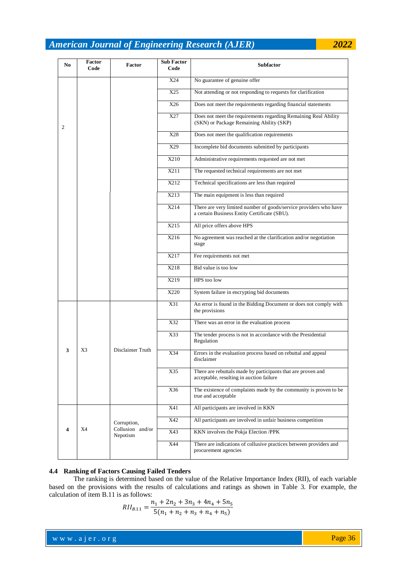| N <sub>0</sub> | Factor<br>Code | <b>Factor</b>                               | <b>Sub Factor</b><br>Code | <b>Subfactor</b>                                                                                                  |  |  |
|----------------|----------------|---------------------------------------------|---------------------------|-------------------------------------------------------------------------------------------------------------------|--|--|
|                |                |                                             | X24                       | No guarantee of genuine offer                                                                                     |  |  |
|                |                |                                             | X25                       | Not attending or not responding to requests for clarification                                                     |  |  |
| 2              |                |                                             | X26                       | Does not meet the requirements regarding financial statements                                                     |  |  |
|                |                |                                             | X27                       | Does not meet the requirements regarding Remaining Real Ability<br>(SKN) or Package Remaining Ability (SKP)       |  |  |
|                |                |                                             | X28                       | Does not meet the qualification requirements                                                                      |  |  |
|                |                |                                             | X29                       | Incomplete bid documents submitted by participants                                                                |  |  |
|                |                |                                             | X210                      | Administrative requirements requested are not met                                                                 |  |  |
|                |                |                                             | X211                      | The requested technical requirements are not met                                                                  |  |  |
|                |                |                                             | X212                      | Technical specifications are less than required                                                                   |  |  |
|                |                |                                             | $\overline{X213}$         | The main equipment is less than required                                                                          |  |  |
|                |                |                                             | X214                      | There are very limited number of goods/service providers who have<br>a certain Business Entity Certificate (SBU). |  |  |
|                |                |                                             | X215                      | All price offers above HPS                                                                                        |  |  |
|                |                |                                             | X216                      | No agreement was reached at the clarification and/or negotiation<br>stage                                         |  |  |
|                |                |                                             | X217                      | Fee requirements not met                                                                                          |  |  |
|                |                |                                             | X218                      | Bid value is too low                                                                                              |  |  |
|                |                |                                             | X219                      | HPS too low                                                                                                       |  |  |
|                |                |                                             | X220                      | System failure in encrypting bid documents                                                                        |  |  |
|                | X3             | Disclaimer Truth                            | X31                       | An error is found in the Bidding Document or does not comply with<br>the provisions                               |  |  |
|                |                |                                             | X32                       | There was an error in the evaluation process                                                                      |  |  |
| 3              |                |                                             | X33                       | The tender process is not in accordance with the Presidential<br>Regulation                                       |  |  |
|                |                |                                             | X34                       | Errors in the evaluation process based on rebuttal and appeal<br>disclaimer                                       |  |  |
|                |                |                                             | X35                       | There are rebuttals made by participants that are proven and<br>acceptable, resulting in auction failure          |  |  |
|                |                |                                             | X36                       | The existence of complaints made by the community is proven to be<br>true and acceptable                          |  |  |
| 4              | X4             | Corruption,<br>Collusion and/or<br>Nepotism | X41                       | All participants are involved in KKN                                                                              |  |  |
|                |                |                                             | X42                       | All participants are involved in unfair business competition                                                      |  |  |
|                |                |                                             | X43                       | KKN involves the Pokja Election /PPK                                                                              |  |  |
|                |                |                                             | X44                       | There are indications of collusive practices between providers and<br>procurement agencies                        |  |  |

#### **4.4 Ranking of Factors Causing Failed Tenders**

The ranking is determined based on the value of the Relative Importance Index (RII), of each variable based on the provisions with the results of calculations and ratings as shown in Table 3. For example, the calculation of item B.11 is as follows:  $\mathcal{L}$  $\mathbb{R}^2$ J.  $\mathbf{r}$ 

$$
RII_{B.11} = \frac{n_1 + 2n_2 + 3n_3 + 4n_4 + 5n_5}{5(n_1 + n_2 + n_3 + n_4 + n_5)}
$$

www.ajer.org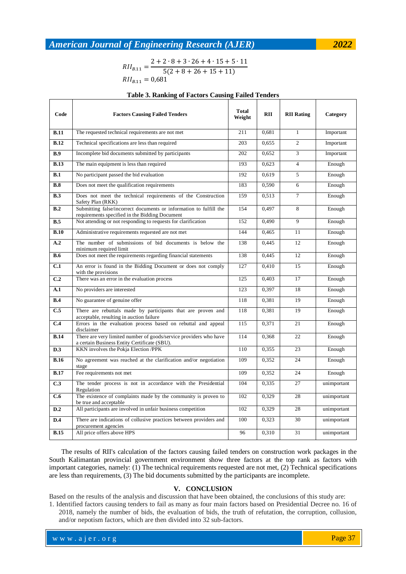$RII_{B,11} = \frac{2}{3}$ 5  $RII_{B,11} = 0,681$ 

#### **Table 3. Ranking of Factors Causing Failed Tenders**

| Code        | <b>Factors Causing Failed Tenders</b>                                                                                | <b>Total</b><br>Weight | <b>RII</b> | <b>RII Rating</b> | Category    |
|-------------|----------------------------------------------------------------------------------------------------------------------|------------------------|------------|-------------------|-------------|
| <b>B.11</b> | The requested technical requirements are not met                                                                     | 211                    | 0,681      | $\mathbf{1}$      | Important   |
| <b>B.12</b> | Technical specifications are less than required                                                                      | 203                    | 0,655      | $\overline{2}$    | Important   |
| <b>B.9</b>  | Incomplete bid documents submitted by participants                                                                   | 202                    | 0,652      | 3                 | Important   |
| <b>B.13</b> | The main equipment is less than required                                                                             | 193                    | 0.623      | $\overline{4}$    | Enough      |
| B.1         | No participant passed the bid evaluation                                                                             | 192                    | 0.619      | 5                 | Enough      |
| B.8         | Does not meet the qualification requirements                                                                         | 183                    | 0,590      | 6                 | Enough      |
| B.3         | Does not meet the technical requirements of the Construction<br>Safety Plan (RKK)                                    | 159                    | 0.513      | $\overline{7}$    | Enough      |
| R.2         | Submitting false/incorrect documents or information to fulfill the<br>requirements specified in the Bidding Document | 154                    | 0,497      | 8                 | Enough      |
| B.5         | Not attending or not responding to requests for clarification                                                        | 152                    | 0.490      | 9                 | Enough      |
| B.10        | Administrative requirements requested are not met                                                                    | 144                    | 0.465      | 11                | Enough      |
| A.2         | The number of submissions of bid documents is below the<br>minimum required limit                                    | 138                    | 0,445      | 12                | Enough      |
| <b>B.6</b>  | Does not meet the requirements regarding financial statements                                                        | 138                    | 0,445      | 12                | Enough      |
| C.1         | An error is found in the Bidding Document or does not comply<br>with the provisions                                  | $\overline{127}$       | 0,410      | 15                | Enough      |
| C.2         | There was an error in the evaluation process                                                                         |                        | 0.403      | 17                | Enough      |
| A.1         | No providers are interested                                                                                          | 123                    | 0,397      | 18                | Enough      |
| B.4         | No guarantee of genuine offer                                                                                        | 118                    | 0,381      | 19                | Enough      |
| C.5         | There are rebuttals made by participants that are proven and<br>acceptable, resulting in auction failure             | 118                    | 0,381      | 19                | Enough      |
| C.4         | Errors in the evaluation process based on rebuttal and appeal<br>disclaimer                                          | 115                    | 0,371      | 21                | Enough      |
| <b>B.14</b> | There are very limited number of goods/service providers who have<br>a certain Business Entity Certificate (SBU).    | 114                    | 0,368      | 22                | Enough      |
| D.3         | KKN involves the Pokja Election /PPK                                                                                 | 110                    | 0,355      | 23                | Enough      |
| <b>B.16</b> | No agreement was reached at the clarification and/or negotiation<br>stage                                            | 109                    | 0,352      | 24                | Enough      |
| <b>B.17</b> | Fee requirements not met                                                                                             | 109                    | 0,352      | 24                | Enough      |
| C.3         | The tender process is not in accordance with the Presidential<br>Regulation                                          | 104                    | 0,335      | 27                | unimportant |
| C.6         | The existence of complaints made by the community is proven to<br>be true and acceptable                             | 102                    | 0.329      | 28                | unimportant |
| D.2         | All participants are involved in unfair business competition                                                         | 102                    | 0,329      | 28                | unimportant |
| D.4         | There are indications of collusive practices between providers and<br>procurement agencies                           | 100                    | 0,323      | 30                | unimportant |
| <b>B.15</b> | All price offers above HPS                                                                                           | 96                     | 0,310      | 31                | unimportant |

The results of RII's calculation of the factors causing failed tenders on construction work packages in the South Kalimantan provincial government environment show three factors at the top rank as factors with important categories, namely: (1) The technical requirements requested are not met, (2) Technical specifications are less than requirements, (3) The bid documents submitted by the participants are incomplete.

#### **V. CONCLUSION**

Based on the results of the analysis and discussion that have been obtained, the conclusions of this study are:

1. Identified factors causing tenders to fail as many as four main factors based on Presidential Decree no. 16 of 2018, namely the number of bids, the evaluation of bids, the truth of refutation, the corruption, collusion, and/or nepotism factors, which are then divided into 32 sub-factors.